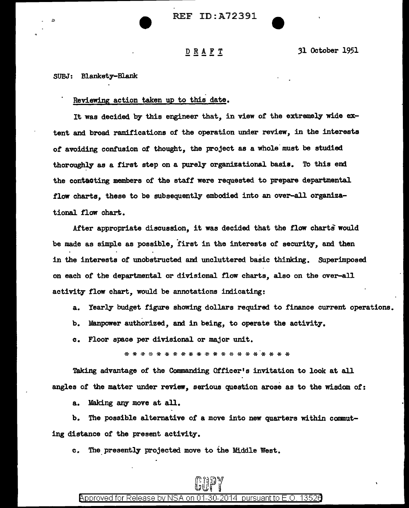**REF ID:A72391** 

# $D$  R A F T

31 October 1951

SUBJ: **Blankety-Blank** 

# Reviewing action taken up to this date.

It was decided by this engineer that, in view of the extremely wide extent and broad ramifications of the operation under review, in the interests of avoiding confusion of thought, the project as a whole must be studied thoroughly as a first step on a purely organizational basis. To this end the contacting members of the staff were requested to prepare departmental flow charts, these to be subsequently embodied into an over-all organizational flow chart.

After appropriate discussion, it was decided that the flow charts would be made as simple as possible, first in the interests of security, and then in the interests of unobstructed and uncluttered basic thinking. Superimposed on each of the departmental or divisional flow charts, also on the over-all activity flow chart, would be annotations indicating:

- Yearly budget figure showing dollars required to finance current operations.  $a<sub>r</sub>$
- b. Manpower authorized, and in being, to operate the activity.
- c. Floor space per divisional or major unit.

Taking advantage of the Commanding Officer's invitation to look at all angles of the matter under review, serious question arose as to the wisdom of:

Making any move at all. a.

The possible alternative of a move into new quarters within commutb. ing distance of the present activity.

The presently projected move to the Middle West.  $\mathbf{c}$ .

### Approved for Release by NSA on 01-30-2014 pursuant to E.O. 13526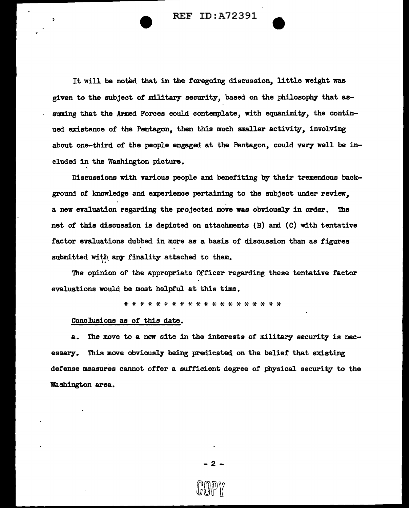**REF ID:A72391** 

It will be noted that in the foregoing discussion. little weight was given to the subject of military security, based on the philosophy that assuming that the Armed Forces could contemplate, with equanimity, the continued existence of the Pentagon, then this much smaller activity, involving about one-third of the people engaged at the Pentagon, could very well be included in the Washington picture.

Discussions with various people and benefiting by their tremendous background of knowledge and experience pertaining to the subject under review. a new evaluation regarding the projected move was obviously in order. The net of this discussion is depicted on attachments (B) and (C) with tentative factor evaluations dubbed in more as a basis of discussion than as figures submitted with any finality attached to them.

The opinion of the appropriate Officer regarding these tentative factor evaluations would be most helpful at this time.

\* \* \* \* \* \* \* \* \* \* \* \* \* \* \* \* \* \* \* \*

## Conclusions as of this date.

The move to a new site in the interests of military security is nec $a_{\bullet}$ essary. This move obviously being predicated on the belief that existing defense measures cannot offer a sufficient degree of physical security to the Washington area.

- 2 -

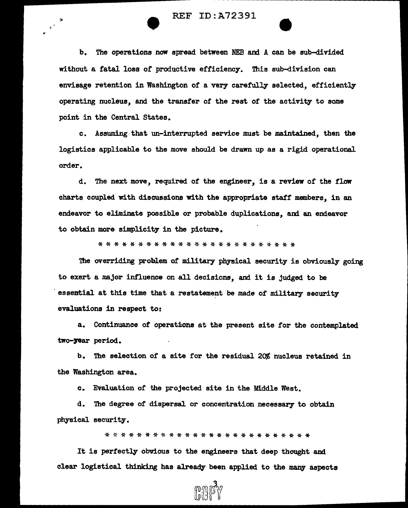# REF ID:A72391

b. The operations now spread between NEB and A can be sub-divided without a fatal loss of productive efficiency. This sub-division can envisage retention in Washington of a very carefully selected, efficiently operating nucleus, and the transfer of the rest of the activity to some point in the Central States.

c. Assuming that un-interrupted service must be maintained, then the logistics applicable to the move should be drawn up as a rigid operational order.

d. The next move, required of the engineer, is a review of the flow charts coupled with discussions with the appropriate staff members, in an endeavor to eliminate possible or probable duplications, and an endeavor to obtain more simplicity in the picture.

\*\*\*\*\*\*\*\*\*\*\*\*\*\*\*\*\*\*\*\*\*\*\*\*\*

The overriding problem of military physical security is obviously going to exert a major influence on all decisions, and it is judged to be essential at this time that a restatement be made of military security evaluations in respect to:

a. Continuance of operations at the present site for the contemplated two-par period.

b. The selection of a site for the residual 20% nucleus retained in the Washington area.

c. Evaluation of the projected site in the Middle West.

d. The degree of dispersal or concentration necessary to obtain physical security.

\*\*\*\*\*\*\*\*\*\*\*\*\*\*\*\*\*\*\*\*\*\*\*\*\*\*

It is perfectly obvious to the engineers that deep thought and clear logistical thinking has already been applied to the many aspects

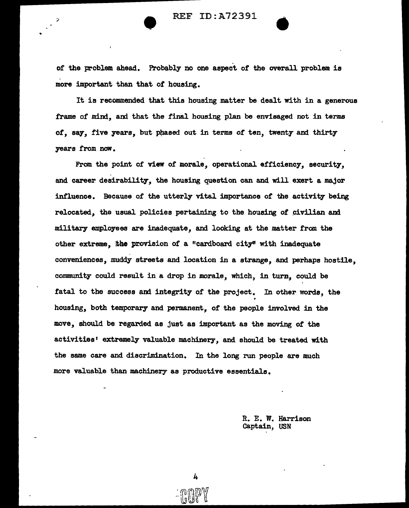of the problem ahead. Probably no one aspect of the overall problem is more important than that of housing.

It is recommended that this housing matter be dealt with in a generous frame of mind, and that the final housing plan be envisaged not in terms of, say, five years, but phased out in terms of ten, twenty and thirty years from now.

From the point of view of morale, operational efficiency, security, and career desirability, the housing question can and will exert a major intluence. Because of the utterly- vital importance of the activity being relocated, the usual policies pertaining to the housing of civilian am military employees are inadequate, and looking at the matter from the other extreme, the provision of a "cardboard city" with inadequate conveniences, muddy streets and location in a strange, and perhaps hostile, community could result in a drop in morale, which, in turn, could be fatal to the success and integrity of the project. In other words, the housing, both temporary and permanent, of the people involved in the move, should be regarded as just as important as the moving of the activities' extremely valuable machinery, and should be treated with the same care and discrimination. In the long run people are much more valuable than machinery as productive essentials.

> R. E. W. Harrison Captain, USN

4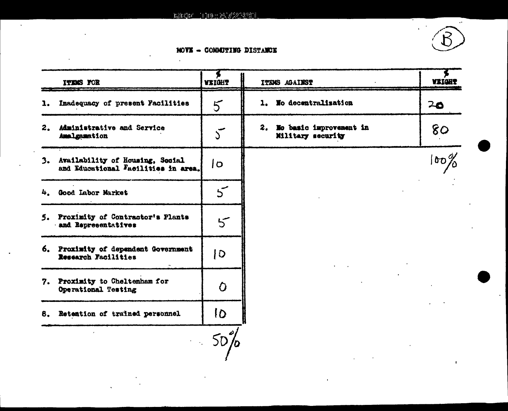$\mathbf{r}$ 



NOVE - CONNUTING DISTANCE

|    | ITENS FOR                                                                 | <b>VEIGHT</b>                                 | ITENS AGAINST                                   | <b>VEIGHT</b> |
|----|---------------------------------------------------------------------------|-----------------------------------------------|-------------------------------------------------|---------------|
| ı. | Inadequacy of present Facilities                                          | $5\overline{}$                                | 1. No decentralization                          | 20            |
|    | 2. Administrative and Service<br>Amalgamation                             | $\mathcal{S}$                                 | 2. No basic improvement in<br>Military security | 80            |
|    | 3. Availability of Housing, Social<br>and Educational Facilities in area. | l o                                           |                                                 | $100\%$       |
|    | 4. Good Labor Market                                                      | $\mathsf{S}^{\!\scriptscriptstyle\mathsf{F}}$ |                                                 |               |
|    | 5. Proximity of Contractor's Plants<br>and Representatives                | 5 <sup>2</sup>                                |                                                 |               |
|    | 6. Proximity of dependent Government<br>Research Facilities               | $ 0\rangle$                                   |                                                 |               |
|    | 7. Proximity to Cheltenham for<br>Operational Testing                     | Ō.                                            |                                                 |               |
|    | 8. Retention of trained personnel                                         | $\overline{6}$                                |                                                 |               |
|    |                                                                           | $5D\rangle$                                   |                                                 | $\pmb{\ast}$  |